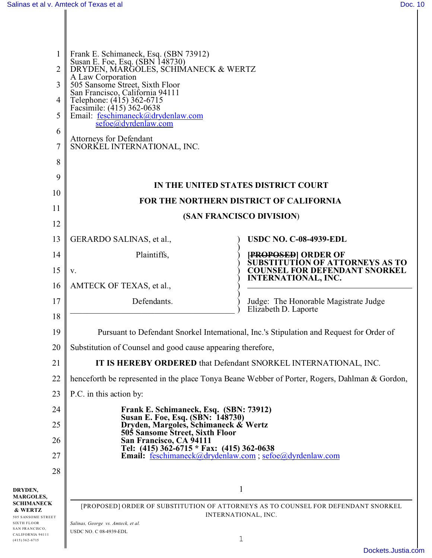| 1<br>2<br>3<br>4<br>5<br>6<br>7                                                                                                               | Frank E. Schimaneck, Esq. (SBN 73912)<br>Susan E. Foe, Esq. (SBN 148730)<br>DRYDEN, MARGOLES, SCHIMANECK & WERTZ<br>A Law Corporation<br>505 Sansome Street, Sixth Floor<br>San Francisco, California 94111<br>Telephone: (415) 362-6715<br>Facsimile: (415) 362-0638<br>Email: feschimaneck@drydenlaw.com<br>$sefoe$ @dyrdenlaw.com<br><b>Attorneys for Defendant</b><br>SNORKEL INTERNATIONAL, INC. |                                                                                |
|-----------------------------------------------------------------------------------------------------------------------------------------------|-------------------------------------------------------------------------------------------------------------------------------------------------------------------------------------------------------------------------------------------------------------------------------------------------------------------------------------------------------------------------------------------------------|--------------------------------------------------------------------------------|
| 8                                                                                                                                             |                                                                                                                                                                                                                                                                                                                                                                                                       |                                                                                |
| 9                                                                                                                                             | IN THE UNITED STATES DISTRICT COURT                                                                                                                                                                                                                                                                                                                                                                   |                                                                                |
| 10                                                                                                                                            | FOR THE NORTHERN DISTRICT OF CALIFORNIA                                                                                                                                                                                                                                                                                                                                                               |                                                                                |
| 11                                                                                                                                            | (SAN FRANCISCO DIVISION)                                                                                                                                                                                                                                                                                                                                                                              |                                                                                |
| 12                                                                                                                                            |                                                                                                                                                                                                                                                                                                                                                                                                       |                                                                                |
| 13<br>14                                                                                                                                      | GERARDO SALINAS, et al.,<br>Plaintiffs,                                                                                                                                                                                                                                                                                                                                                               | <b>USDC NO. C-08-4939-EDL</b><br>[PROPOSED] ORDER OF                           |
| 15                                                                                                                                            | V.                                                                                                                                                                                                                                                                                                                                                                                                    | <b>SUBSTITUTION OF ATTORNEYS AS TO</b><br><b>COUNSEL FOR DEFENDANT SNORKEL</b> |
| 16                                                                                                                                            | AMTECK OF TEXAS, et al.,                                                                                                                                                                                                                                                                                                                                                                              | <b>INTERNATIONAL, INC.</b>                                                     |
| 17                                                                                                                                            | Defendants.                                                                                                                                                                                                                                                                                                                                                                                           | Judge: The Honorable Magistrate Judge                                          |
| 18                                                                                                                                            |                                                                                                                                                                                                                                                                                                                                                                                                       | Elizabeth D. Laporte                                                           |
| 19                                                                                                                                            | Pursuant to Defendant Snorkel International, Inc.'s Stipulation and Request for Order of                                                                                                                                                                                                                                                                                                              |                                                                                |
| 20                                                                                                                                            | Substitution of Counsel and good cause appearing therefore,                                                                                                                                                                                                                                                                                                                                           |                                                                                |
| 21                                                                                                                                            | IT IS HEREBY ORDERED that Defendant SNORKEL INTERNATIONAL, INC.                                                                                                                                                                                                                                                                                                                                       |                                                                                |
| 22                                                                                                                                            | henceforth be represented in the place Tonya Beane Webber of Porter, Rogers, Dahlman & Gordon,                                                                                                                                                                                                                                                                                                        |                                                                                |
| 23                                                                                                                                            | P.C. in this action by:                                                                                                                                                                                                                                                                                                                                                                               |                                                                                |
| 24                                                                                                                                            | Frank E. Schimaneck, Esq. (SBN: 73912)                                                                                                                                                                                                                                                                                                                                                                |                                                                                |
| 25                                                                                                                                            | Susan E. Foe, Esq. (SBN: 148730)<br>Dryden, Margoles, Schimaneck & Wertz<br>505 Sansome Street, Sixth Floor<br>San Francisco, CA 94111<br>Tel: (415) 362-6715 * Fax: (415) 362-0638<br>Email: feschimaneck@drydenlaw.com; sefoe@dyrdenlaw.com                                                                                                                                                         |                                                                                |
| 26                                                                                                                                            |                                                                                                                                                                                                                                                                                                                                                                                                       |                                                                                |
| 27                                                                                                                                            |                                                                                                                                                                                                                                                                                                                                                                                                       |                                                                                |
| 28                                                                                                                                            |                                                                                                                                                                                                                                                                                                                                                                                                       |                                                                                |
| DRYDEN,<br><b>MARGOLES,</b><br><b>SCHIMANECK</b><br>& WERTZ<br>505 SANSOME STREET<br><b>SIXTH FLOOR</b><br>SAN FRANCISCO,<br>CALIFORNIA 94111 | $\mathbf{1}$<br>[PROPOSED] ORDER OF SUBSTITUTION OF ATTORNEYS AS TO COUNSEL FOR DEFENDANT SNORKEL<br>INTERNATIONAL, INC.<br>Salinas, George vs. Amteck, et al.<br><b>USDC NO. C 08-4939-EDL</b>                                                                                                                                                                                                       |                                                                                |
| $(415)$ 362-6715                                                                                                                              |                                                                                                                                                                                                                                                                                                                                                                                                       | 1                                                                              |